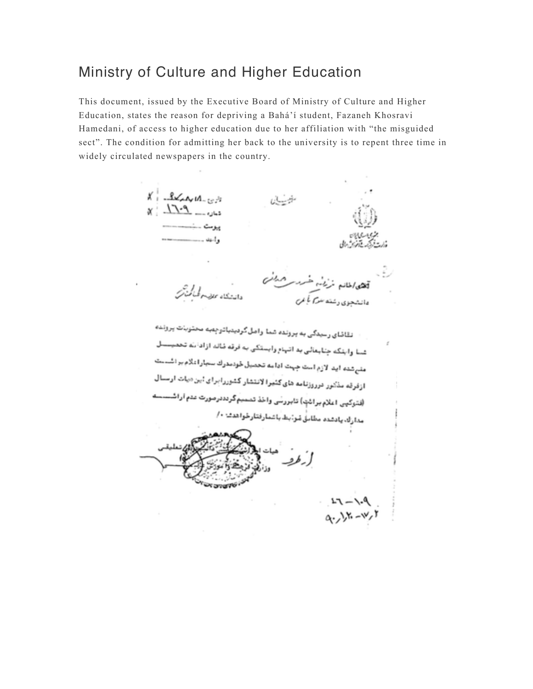## Ministry of Culture and Higher Education

This document, issued by the Executive Board of Ministry of Culture and Higher Education, states the reason for depriving a Bahá'í student, Fazaneh Khosravi Hamedani, of access to higher education due to her affiliation with "the misguided sect". The condition for admitting her back to the university is to repent three time in widely circulated newspapers in the country.